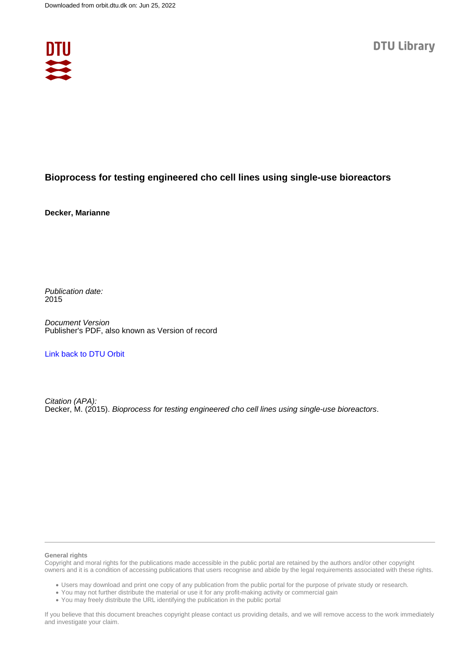

# **Bioprocess for testing engineered cho cell lines using single-use bioreactors**

**Decker, Marianne**

Publication date: 2015

Document Version Publisher's PDF, also known as Version of record

[Link back to DTU Orbit](https://orbit.dtu.dk/en/publications/dc4a0b9d-3f6c-410b-97ef-d0ede37e6c36)

Citation (APA): Decker, M. (2015). Bioprocess for testing engineered cho cell lines using single-use bioreactors.

## **General rights**

Copyright and moral rights for the publications made accessible in the public portal are retained by the authors and/or other copyright owners and it is a condition of accessing publications that users recognise and abide by the legal requirements associated with these rights.

Users may download and print one copy of any publication from the public portal for the purpose of private study or research.

- You may not further distribute the material or use it for any profit-making activity or commercial gain
- You may freely distribute the URL identifying the publication in the public portal

If you believe that this document breaches copyright please contact us providing details, and we will remove access to the work immediately and investigate your claim.